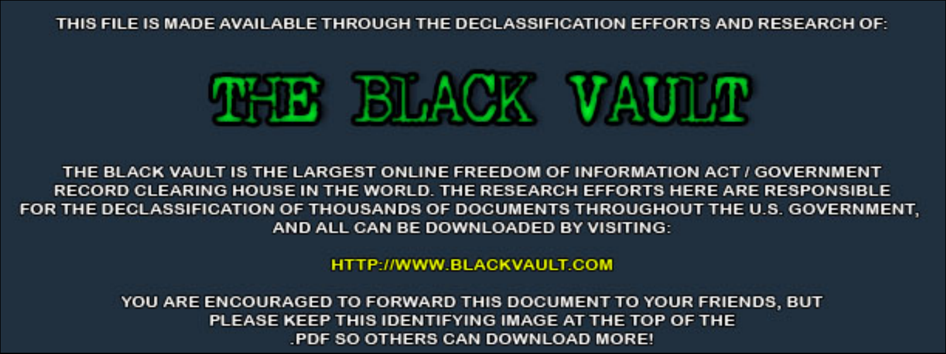THIS FILE IS MADE AVAILABLE THROUGH THE DECLASSIFICATION EFFORTS AND RESEARCH OF:



THE BLACK VAULT IS THE LARGEST ONLINE FREEDOM OF INFORMATION ACT / GOVERNMENT RECORD CLEARING HOUSE IN THE WORLD. THE RESEARCH EFFORTS HERE ARE RESPONSIBLE FOR THE DECLASSIFICATION OF THOUSANDS OF DOCUMENTS THROUGHOUT THE U.S. GOVERNMENT, AND ALL CAN BE DOWNLOADED BY VISITING:

**HTTP://WWW.BLACKVAULT.COM** 

YOU ARE ENCOURAGED TO FORWARD THIS DOCUMENT TO YOUR FRIENDS, BUT PLEASE KEEP THIS IDENTIFYING IMAGE AT THE TOP OF THE PDF SO OTHERS CAN DOWNLOAD MORE!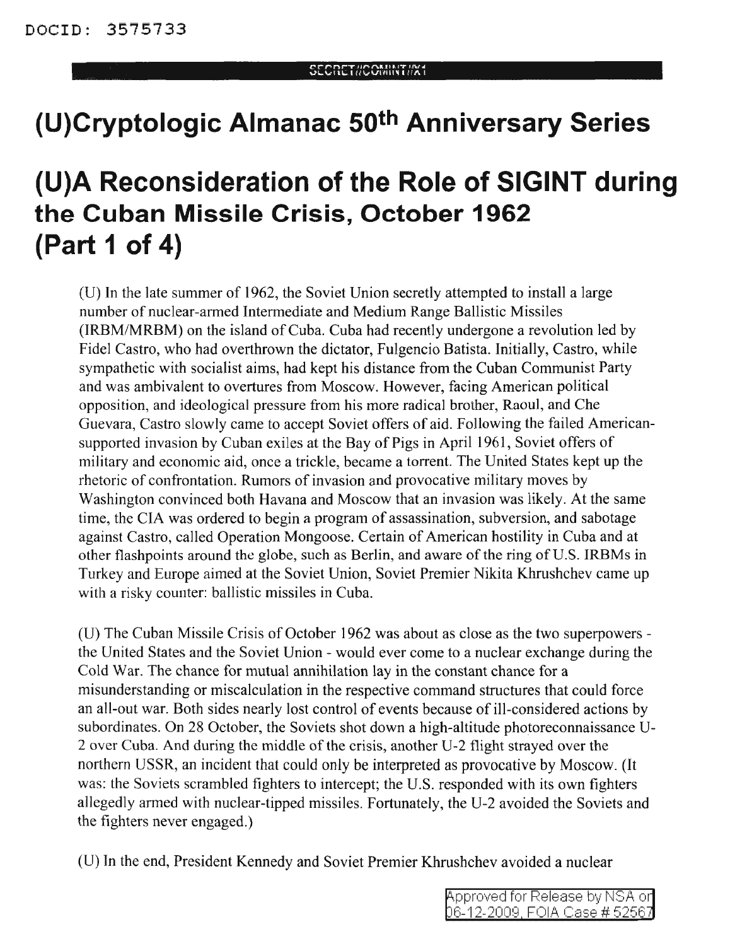## **(U)Cryptologic Almanac 50th Anniversary Series**

# **(U)A Reconsideration of the Role of SIGINT during the Cuban Missile Crisis, October 1962 (Part 1 of 4)**

(U) In the late summer of 1962, the Soviet Union secretly attempted to install a large number of nuclear-armed Intermediate and Medium Range Ballistic Missiles (IRBM/MRBM) on the island of Cuba. Cuba had recently undergone a revolution led by Fidel Castro, who had overthrown the dictator, Fulgencio Batista. Initially, Castro, while sympathetic with socialist aims, had kept his distance from the Cuban Communist Party and was ambivalent to overtures from Moscow. However, facing American political opposition, and ideological pressure from his more radical brother, Raoul, and Che Guevara, Castro slowly came to accept Soviet offers of aid. Following the failed Americansupported invasion by Cuban exiles at the Bay of Pigs in April 1961, Soviet offers of military and economic aid, once a trickle, became a torrent. The United States kept up the rhetoric of confrontation. Rumors of invasion and provocative military moves by Washington convinced both Havana and Moscow that an invasion was likely. At the same time, the CIA was ordered to begin a program of assassination, subversion, and sabotage against Castro, called Operation Mongoose. Certain of American hostility in Cuba and at other flashpoints around the globe, such as Berlin, and aware of the ring of U.S. IRBMs in Turkey and Europe aimed at the Soviet Union, Soviet Premier Nikita Khrushchev came up with a risky counter: ballistic missiles in Cuba.

(U) The Cuban Missile Crisis of October 1962 was about as close as the two superpowers the United States and the Soviet Union - would ever come to a nuclear exchange during the Cold War. The chance for mutual annihilation lay in the constant chance for a misunderstanding or miscalculation in the respective command structures that could force an all-out war. Both sides nearly lost control of events because of ill-considered actions by subordinates. On 28 October, the Soviets shot down a high-altitude photoreconnaissance U-2 over Cuba. And during the middle of the crisis, another U-2 flight strayed over the northern USSR, an incident that could only be interpreted as provocative by Moscow. (It was: the Soviets scrambled fighters to intercept; the U.S. responded with its own fighters allegedly armed with nuclear-tipped missiles. Fortunately, the U-2 avoided the Soviets and the fighters never engaged.)

(U) In the end, President Kennedy and Soviet Premier Khrushchev avoided a nuclear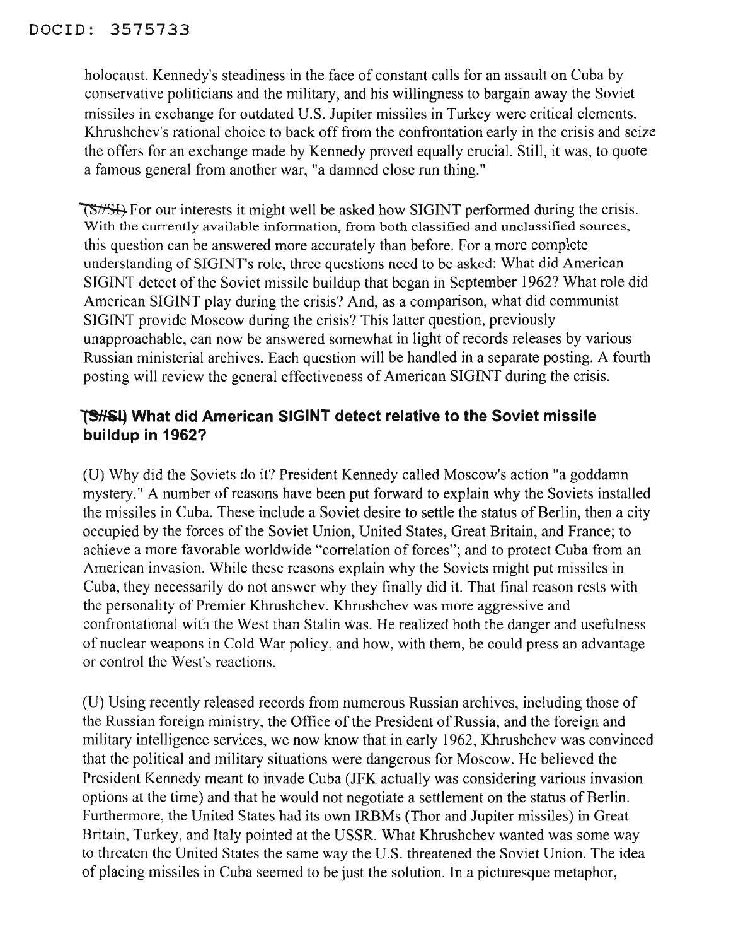### DOClD: 3575733

holocaust. Kennedy's steadiness in the face of constant calls for an assault on Cuba by conservative politicians and the military, and his willingness to bargain away the Soviet missiles in exchange for outdated U.S. Jupiter missiles in Turkey were critical elements. Khrushchev's rational choice to back off from the confrontation early in the crisis and seize the offers for an exchange made by Kennedy proved equally crucial. Still, it was, to quote a famous general from another war, "a damned close run thing."

**TS#SH** For our interests it might well be asked how SIGINT performed during the crisis. With the currently available information, from both classified and unclassified sources, this question can be answered more accurately than before. For a more complete understanding of SIGINT's role, three questions need to be asked: What did American SIGINT detect of the Soviet missile buildup that began in September 1962? What role did American SIGINT play during the crisis? And, as a comparison, what did communist SIGINT provide Moscow during the crisis? This latter question, previously unapproachable, can now be answered somewhat in light of records releases by various Russian ministerial archives. Each question will be handled in a separate posting. A fourth posting will review the general effectiveness of American SIGINT during the crisis.

#### lSH&.ij **What did American SIGINT detect relative to the Soviet missile buildup in 1962?**

(U) Why did the Soviets do it? President Kennedy called Moscow's action "a goddamn mystery." A number of reasons have been put forward to explain why the Soviets installed the missiles in Cuba. These include a Soviet desire to settle the status of Berlin, then a city occupied by the forces of the Soviet Union, United States, Great Britain, and France; to achieve a more favorable worldwide "correlation of forces"; and to protect Cuba from an American invasion. While these reasons explain why the Soviets might put missiles in Cuba, they necessarily do not answer why they finally did it. That final reason rests with the personality of Premier Khrushchev. Khrushchev was more aggressive and confrontational with the West than Stalin was. He realized both the danger and usefulness of nuclear weapons in Cold War policy, and how, with them, he could press an advantage or control the West's reactions.

(U) Using recently released records from numerous Russian archives, including those of the Russian foreign ministry, the Office of the President of Russia, and the foreign and military intelligence services, we now know that in early 1962, Khrushchev was convinced that the political and military situations were dangerous for Moscow. He believed the President Kennedy meant to invade Cuba (JFK actually was considering various invasion options at the time) and that he would not negotiate a settlement on the status of Berlin. Furthermore, the United States had its own IRBMs (Thor and Jupiter missiles) in Great Britain, Turkey, and Italy pointed at the USSR. What Khrushchev wanted was some way to threaten the United States the same way the U.S. threatened the Soviet Union. The idea of placing missiles in Cuba seemed to be just the solution. In a picturesque metaphor,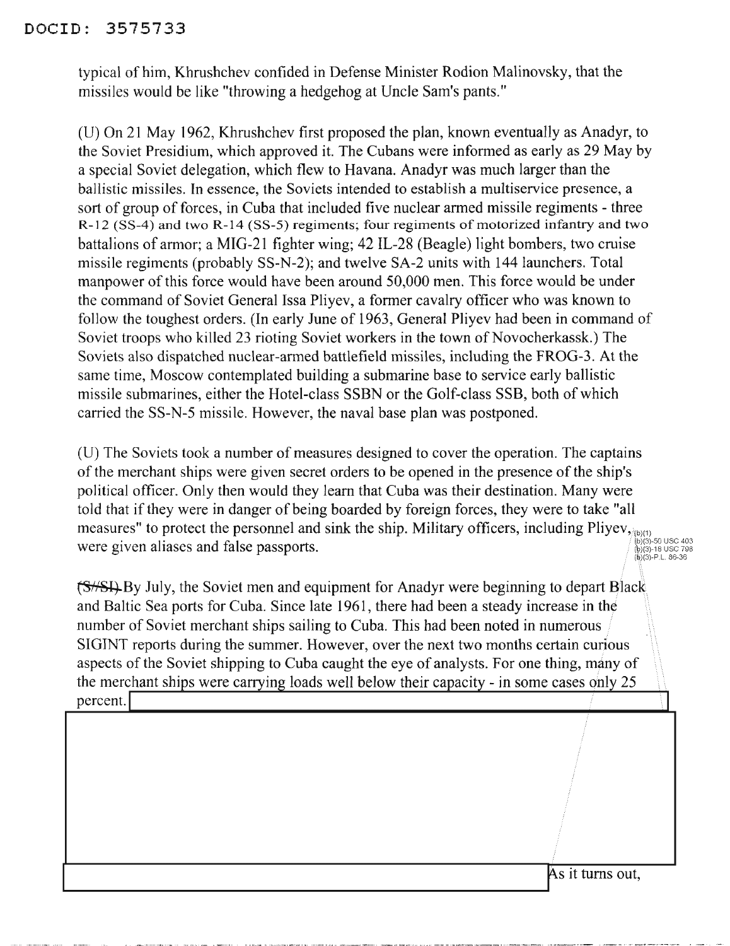#### DOCID: 3575733

typical of him, Khrushchev confided in Defense Minister Rodion Malinovsky, that the missiles would be like "throwing a hedgehog at Uncle Sam's pants."

(D) On 21 May 1962, Khrushchev first proposed the plan, known eventually as Anadyr, to the Soviet Presidium, which approved it. The Cubans were informed as early as 29 May by a special Soviet delegation, which flew to Havana. Anadyr was much larger than the ballistic missiles. In essence, the Soviets intended to establish a multiservice presence, a sort of group of forces, in Cuba that included five nuclear armed missile regiments - three R-12 (SS-4) and two R-14 (SS-5) regiments; four regiments of motorized infantry and two battalions of armor; a MIG-21 fighter wing; 42 IL-28 (Beagle) light bombers, two cruise missile regiments (probably SS-N-2); and twelve SA-2 units with 144 launchers. Total manpower of this force would have been around 50,000 men. This force would be under the command of Soviet General Issa Pliyev, a former cavalry officer who was known to follow the toughest orders. (In early June of 1963, General Pliyev had been in command of Soviet troops who killed 23 rioting Soviet workers in the town of Novocherkassk.) The Soviets also dispatched nuclear-armed battlefield missiles, including the FROG-3. At the same time, Moscow contemplated building a submarine base to service early ballistic missile submarines, either the Hotel-class SSBN or the Golf-class SSB, both of which carried the SS-N-5 missile. However, the naval base plan was postponed.

(U) The Soviets took a number of measures designed to cover the operation. The captains of the merchant ships were given secret orders to be opened in the presence of the ship's political officer. Only then would they learn that Cuba was their destination. Many were told that if they were in danger of being boarded by foreign forces, they were to take "all measures" to protect the personnel and sink the ship. Military officers, including Pliyev,  $\frac{1}{10(3)}$  and  $\frac{1}{10(3)}$  and  $\frac{1}{10(3)}$  and  $\frac{1}{10(3)}$  and  $\frac{1}{10(3)}$  and  $\frac{1}{10(3)}$  and  $\frac{1}{10(3)}$  and  $\frac{1}{10(3)}$ 

 $~\{\pm 1, \pm 2, \pm 3\}$  By July, the Soviet men and equipment for Anadyr were beginning to depart Black and Baltic Sea ports for Cuba. Since late 1961, there had been a steady increase in the number of Soviet merchant ships sailing to Cuba. This had been noted in numerous SIGINT reports during the summer. However, over the next two months certain curious aspects of the Soviet shipping to Cuba caught the eye of analysts. For one thing, many of the merchant ships were carrying loads well below their capacity - in some cases only 25 number of Soviet merchant ships salify to Cuba. This had been noted in numerous<br>SIGINT reports during the summer. However, over the next two months certain curious<br>aspects of the Soviet shipping to Cuba caught the eye of a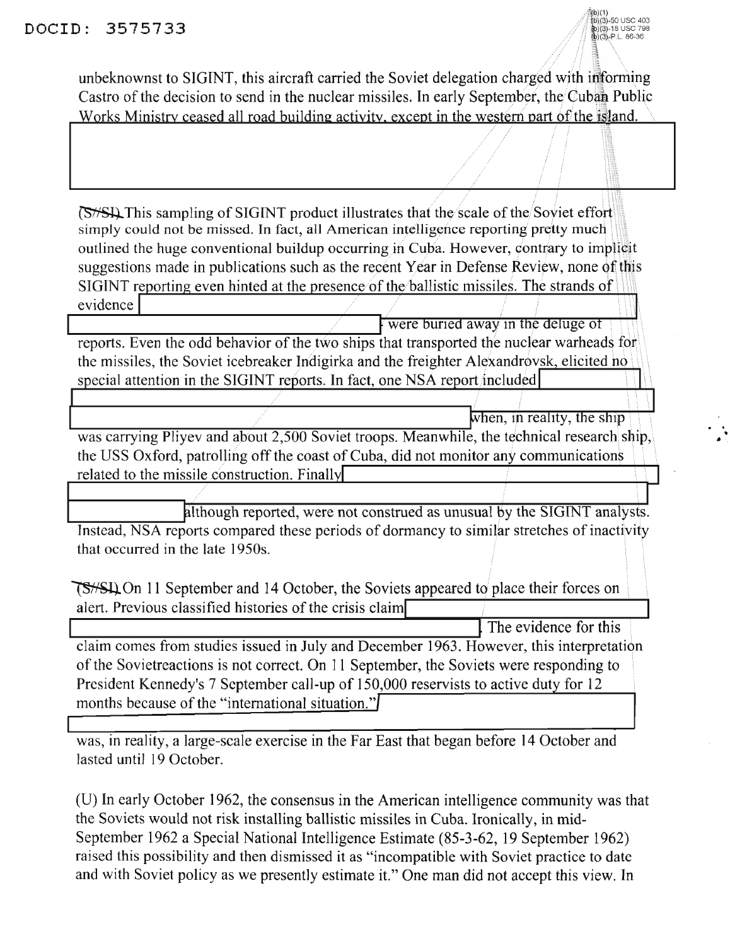unbeknownst to SIGINT, this aircraft carried the Soviet delegation charged with informing Castro of the decision to send in the nuclear missiles. In early September, the Cuban Public Works Ministry ceased all road building activity, except in the western part of the island.

**(S/S)** This sampling of SIGINT product illustrates that the scale of the Soviet effort simply could not be missed. In fact, all American intelligence reporting pretty much outlined the huge conventional buildup occurring in Cuba. However, contrary to implicit suggestions made in publications such as the recent Year in Defense Review, none of this SIGINT reporting even hinted at the presence of the ballistic missiles. The strands of evidence

were buried away in the deluge of reports. Even the odd behavior of the two ships that transported the nuclear warheads for the missiles, the Soviet icebreaker Indigirka and the freighter Alexandrovsk, elicited no special attention in the SIGINT reports. In fact, one NSA report included

when, in reality, the ship was carrying Pliyev and about 2,500 Soviet troops. Meanwhile, the technical research ship, the USS Oxford, patrolling off the coast of Cuba, did not monitor any communications related to the missile construction. Finally

although reported, were not construed as unusual by the SIGINT analysts. Instead, NSA reports compared these periods of dormancy to similar stretches of inactivity that occurred in the late 1950s.

**TS**<del>/S</del>IL On 11 September and 14 October, the Soviets appeared to place their forces on alert. Previous classified histories of the crisis claim

The evidence for this claim comes from studies issued in July and December 1963. However, this interpretation of the Sovietreactions is not correct. On 11 September, the Soviets were responding to President Kennedy's 7 September call-up of 150,000 reservists to active duty for 12 months because of the "international situation."

was, in reality, a large-scale exercise in the Far East that began before 14 October and lasted until 19 October.

(U) In early October 1962, the consensus in the American intelligence community was that the Soviets would not risk installing ballistic missiles in Cuba. Ironically, in mid-September 1962 a Special National Intelligence Estimate (85-3-62, 19 September 1962) raised this possibility and then dismissed it as "incompatible with Soviet practice to date and with Soviet policy as we presently estimate it." One man did not accept this view. In